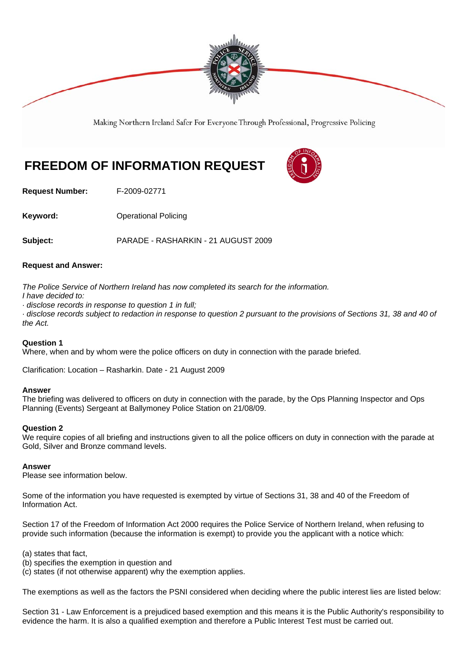

Making Northern Ireland Safer For Everyone Through Professional, Progressive Policing

## **FREEDOM OF INFORMATION REQUEST**

**Request Number:** F-2009-02771

**Keyword: Conservery Operational Policing** 

**Subject:** PARADE - RASHARKIN - 21 AUGUST 2009

## **Request and Answer:**

*The Police Service of Northern Ireland has now completed its search for the information.*

*I have decided to:*

*· disclose records in response to question 1 in full;*

*· disclose records subject to redaction in response to question 2 pursuant to the provisions of Sections 31, 38 and 40 of the Act.*

## **Question 1**

Where, when and by whom were the police officers on duty in connection with the parade briefed.

Clarification: Location – Rasharkin. Date - 21 August 2009

## **Answer**

The briefing was delivered to officers on duty in connection with the parade, by the Ops Planning Inspector and Ops Planning (Events) Sergeant at Ballymoney Police Station on 21/08/09.

## **Question 2**

We require copies of all briefing and instructions given to all the police officers on duty in connection with the parade at Gold, Silver and Bronze command levels.

## **Answer**

Please see information below.

Some of the information you have requested is exempted by virtue of Sections 31, 38 and 40 of the Freedom of Information Act.

Section 17 of the Freedom of Information Act 2000 requires the Police Service of Northern Ireland, when refusing to provide such information (because the information is exempt) to provide you the applicant with a notice which:

(a) states that fact,

- (b) specifies the exemption in question and
- (c) states (if not otherwise apparent) why the exemption applies.

The exemptions as well as the factors the PSNI considered when deciding where the public interest lies are listed below:

Section 31 - Law Enforcement is a prejudiced based exemption and this means it is the Public Authority's responsibility to evidence the harm. It is also a qualified exemption and therefore a Public Interest Test must be carried out.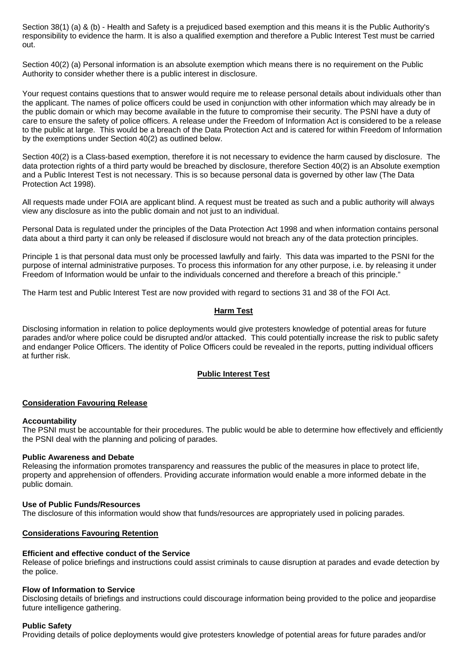Section 38(1) (a) & (b) - Health and Safety is a prejudiced based exemption and this means it is the Public Authority's responsibility to evidence the harm. It is also a qualified exemption and therefore a Public Interest Test must be carried out.

Section 40(2) (a) Personal information is an absolute exemption which means there is no requirement on the Public Authority to consider whether there is a public interest in disclosure.

Your request contains questions that to answer would require me to release personal details about individuals other than the applicant. The names of police officers could be used in conjunction with other information which may already be in the public domain or which may become available in the future to compromise their security. The PSNI have a duty of care to ensure the safety of police officers. A release under the Freedom of Information Act is considered to be a release to the public at large. This would be a breach of the Data Protection Act and is catered for within Freedom of Information by the exemptions under Section 40(2) as outlined below.

Section 40(2) is a Class-based exemption, therefore it is not necessary to evidence the harm caused by disclosure. The data protection rights of a third party would be breached by disclosure, therefore Section 40(2) is an Absolute exemption and a Public Interest Test is not necessary. This is so because personal data is governed by other law (The Data Protection Act 1998).

All requests made under FOIA are applicant blind. A request must be treated as such and a public authority will always view any disclosure as into the public domain and not just to an individual.

Personal Data is regulated under the principles of the Data Protection Act 1998 and when information contains personal data about a third party it can only be released if disclosure would not breach any of the data protection principles.

Principle 1 is that personal data must only be processed lawfully and fairly. This data was imparted to the PSNI for the purpose of internal administrative purposes. To process this information for any other purpose, i.e. by releasing it under Freedom of Information would be unfair to the individuals concerned and therefore a breach of this principle."

The Harm test and Public Interest Test are now provided with regard to sections 31 and 38 of the FOI Act.

## **Harm Test**

Disclosing information in relation to police deployments would give protesters knowledge of potential areas for future parades and/or where police could be disrupted and/or attacked. This could potentially increase the risk to public safety and endanger Police Officers. The identity of Police Officers could be revealed in the reports, putting individual officers at further risk.

## **Public Interest Test**

## **Consideration Favouring Release**

## **Accountability**

The PSNI must be accountable for their procedures. The public would be able to determine how effectively and efficiently the PSNI deal with the planning and policing of parades.

## **Public Awareness and Debate**

Releasing the information promotes transparency and reassures the public of the measures in place to protect life, property and apprehension of offenders. Providing accurate information would enable a more informed debate in the public domain.

## **Use of Public Funds/Resources**

The disclosure of this information would show that funds/resources are appropriately used in policing parades.

## **Considerations Favouring Retention**

## **Efficient and effective conduct of the Service**

Release of police briefings and instructions could assist criminals to cause disruption at parades and evade detection by the police.

## **Flow of Information to Service**

Disclosing details of briefings and instructions could discourage information being provided to the police and jeopardise future intelligence gathering.

## **Public Safety**

Providing details of police deployments would give protesters knowledge of potential areas for future parades and/or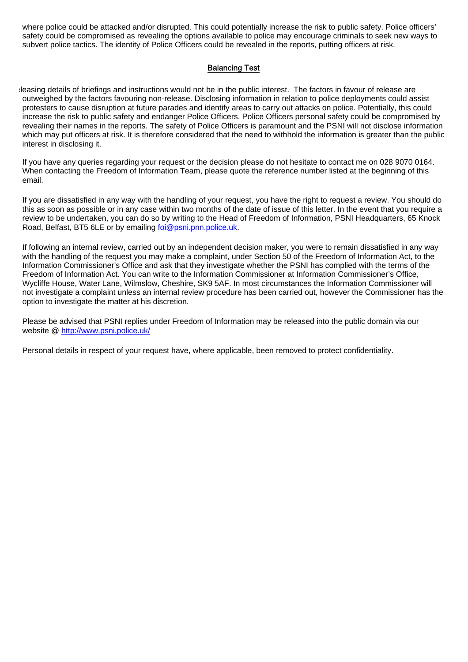where police could be attacked and/or disrupted. This could potentially increase the risk to public safety. Police officers' safety could be compromised as revealing the options available to police may encourage criminals to seek new ways to subvert police tactics. The identity of Police Officers could be revealed in the reports, putting officers at risk.

## Balancing Test

eleasing details of briefings and instructions would not be in the public interest. The factors in favour of release are outweighed by the factors favouring non-release. Disclosing information in relation to police deployments could assist protesters to cause disruption at future parades and identify areas to carry out attacks on police. Potentially, this could increase the risk to public safety and endanger Police Officers. Police Officers personal safety could be compromised by revealing their names in the reports. The safety of Police Officers is paramount and the PSNI will not disclose information which may put officers at risk. It is therefore considered that the need to withhold the information is greater than the public interest in disclosing it.

If you have any queries regarding your request or the decision please do not hesitate to contact me on 028 9070 0164. When contacting the Freedom of Information Team, please quote the reference number listed at the beginning of this email.

If you are dissatisfied in any way with the handling of your request, you have the right to request a review. You should do this as soon as possible or in any case within two months of the date of issue of this letter. In the event that you require a review to be undertaken, you can do so by writing to the Head of Freedom of Information, PSNI Headquarters, 65 Knock Road, Belfast, BT5 6LE or by emailing foi@psni.pnn.police.uk.

If following an internal review, carried out by an independent decision maker, you were to remain dissatisfied in any way with the handling of the request you may make a complaint, under Section 50 of the Freedom of Information Act, to the Information Commissioner's Office and ask that they investigate whether the PSNI has complied with the terms of the Freedom of Information Act. You can write to the Information Commissioner at Information Commissioner's Office, Wycliffe House, Water Lane, Wilmslow, Cheshire, SK9 5AF. In most circumstances the Information Commissioner will not investigate a complaint unless an internal review procedure has been carried out, however the Commissioner has the option to investigate the matter at his discretion.

Please be advised that PSNI replies under Freedom of Information may be released into the public domain via our website @ http://www.psni.police.uk/

Personal details in respect of your request have, where applicable, been removed to protect confidentiality.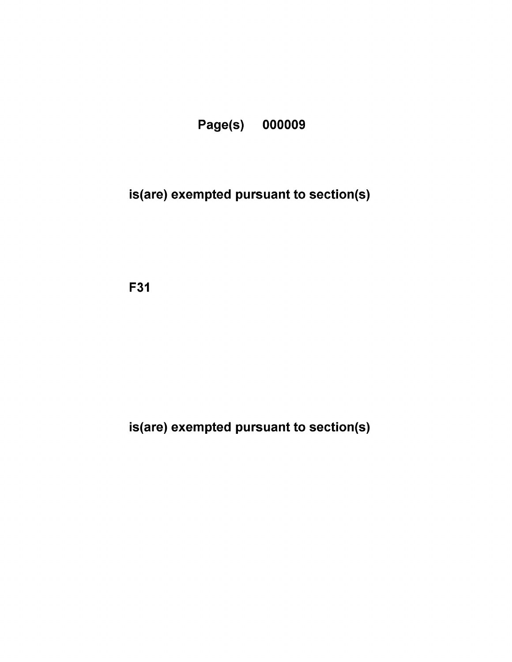

## is(are) exempted pursuant to section(s)

F31

is(are) exempted pursuant to section(s)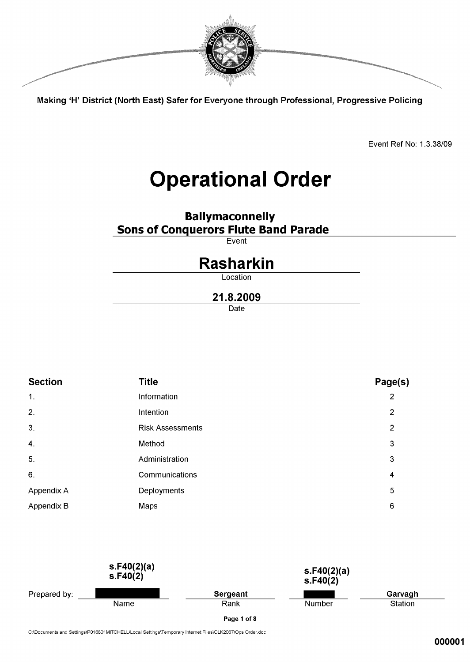

Making 'H' District (North East) Safer for Everyone through Professional, Progressive Policing

Event Ref No: 1.3.38/09

# **Operational Order**

**Ballymaconnelly Sons of Conquerors Flute Band Parade** 

 $\overline{\mathsf{Event}}$ 

## **Rasharkin**

Location

## 21.8.2009

Date

| <b>Section</b>            | Title                   | Page(s)        |  |
|---------------------------|-------------------------|----------------|--|
| $\mathbf{1}$ .            | Information             | $\overline{2}$ |  |
| 2.                        | Intention               | 2              |  |
| 3.                        | <b>Risk Assessments</b> | $\overline{2}$ |  |
| $\overline{\mathbf{4}}$ . | Method                  | $\mathbf{3}$   |  |
| 5.                        | Administration          | 3              |  |
| 6.                        | Communications          | 4              |  |
| Appendix A                | Deployments             | 5              |  |
| Appendix B                | Maps                    | 6              |  |



C:\Documents and Settings\P016801MITCHELL\Local Settings\Temporary Internet Files\OLK2067\Ops Order.doc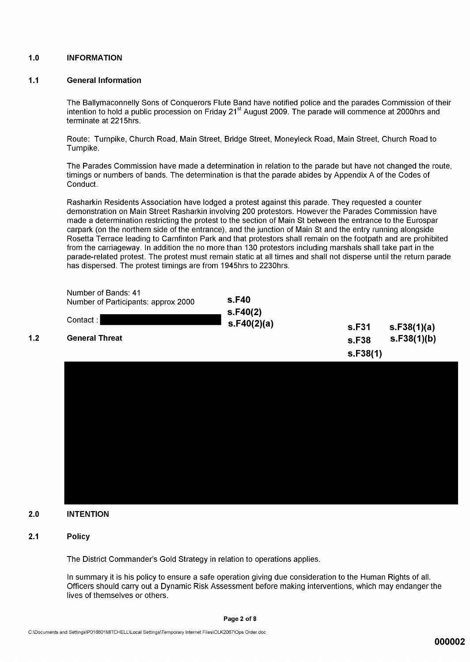#### $1.0$ **INFORMATION**

#### $1.1$ **General Information**

The Ballymaconnelly Sons of Conquerors Flute Band have notified police and the parades Commission of their intention to hold a public procession on Friday 21<sup>st</sup> August 2009. The parade will commence at 2000hrs and terminate at 2215hrs.

Route: Turnpike, Church Road, Main Street, Bridge Street, Moneyleck Road, Main Street, Church Road to Turnpike.

The Parades Commission have made a determination in relation to the parade but have not changed the route. timings or numbers of bands. The determination is that the parade abides by Appendix A of the Codes of Conduct.

Rasharkin Residents Association have lodged a protest against this parade. They requested a counter demonstration on Main Street Rasharkin involving 200 protestors. However the Parades Commission have made a determination restricting the protest to the section of Main St between the entrance to the Eurospar carpark (on the northern side of the entrance), and the junction of Main St and the entry running alongside Rosetta Terrace leading to Carnfinton Park and that protestors shall remain on the footpath and are prohibited from the carriageway. In addition the no more than 130 protestors including marshals shall take part in the parade-related protest. The protest must remain static at all times and shall not disperse until the return parade has dispersed. The protest timings are from 1945hrs to 2230hrs.

| Number of Bands: 41<br>Number of Participants: approx 2000<br>Contact:<br><b>General Threat</b> | s.F40<br>s.F40(2)<br>s.F40(2)(a) | s.F31<br>s.F38<br>s.F38(1) | s.F38(1)(a)<br>s.F38(1)(b) |
|-------------------------------------------------------------------------------------------------|----------------------------------|----------------------------|----------------------------|
|                                                                                                 |                                  |                            |                            |
|                                                                                                 |                                  |                            |                            |

#### **INTENTION**  $2.0$

#### **Policy**  $2.1$

 $1.2$ 

The District Commander's Gold Strategy in relation to operations applies.

In summary it is his policy to ensure a safe operation giving due consideration to the Human Rights of all. Officers should carry out a Dynamic Risk Assessment before making interventions, which may endanger the lives of themselves or others.

Page 2 of 8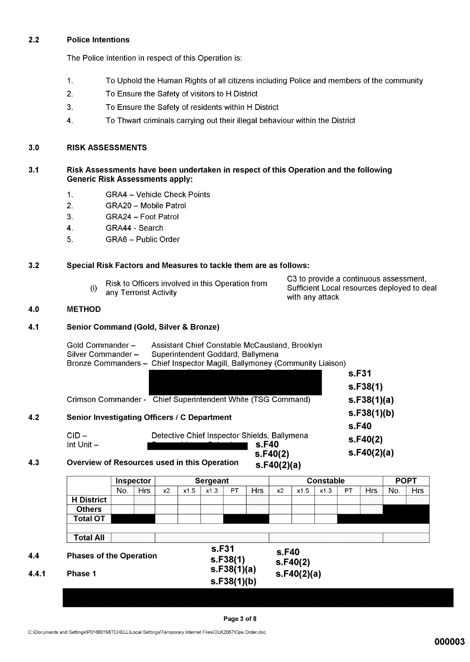#### $2.2$ **Police Intentions**

The Police Intention in respect of this Operation is:

- $\mathbf{1}$ . To Uphold the Human Rights of all citizens including Police and members of the community
- 2. To Ensure the Safety of visitors to H District
- $3.$ To Ensure the Safety of residents within H District
- To Thwart criminals carrying out their illegal behaviour within the District  $\overline{4}$ .

#### **RISK ASSESSMENTS**  $3.0$

#### $3.1$ Risk Assessments have been undertaken in respect of this Operation and the following **Generic Risk Assessments apply:**

- $1.$ **GRA4 - Vehicle Check Points**
- $2.$ GRA20 - Mobile Patrol
- $3<sub>1</sub>$ **GRA24 - Foot Patrol**
- $\overline{4}$ . GRA44 - Search
- 5. GRA6 - Public Order

#### $3.2$ Special Risk Factors and Measures to tackle them are as follows:

| Risk to Officers involved in this Operation from<br>any Terrorist Activity | C3 to provide a continuous assessment,<br>Sufficient Local resources deployed to deal<br>with any attack |
|----------------------------------------------------------------------------|----------------------------------------------------------------------------------------------------------|
|----------------------------------------------------------------------------|----------------------------------------------------------------------------------------------------------|

#### 4.0 **METHOD**

 $4.2$ 

 $4.3$ 

 $4.4$ 

 $4.4.1$ 

#### $4.1$ **Senior Command (Gold, Silver & Bronze)**

| Gold Commander -<br>Silver Commander - | Assistant Chief Constable McCausland, Brooklyn<br>Superintendent Goddard, Ballymena<br>Bronze Commanders - Chief Inspector Magill, Ballymoney (Community Liaison) |                         |
|----------------------------------------|-------------------------------------------------------------------------------------------------------------------------------------------------------------------|-------------------------|
|                                        |                                                                                                                                                                   | s.F31                   |
|                                        |                                                                                                                                                                   | s.F38(1)                |
|                                        | Crimson Commander - Chief Superintendent White (TSG Command)                                                                                                      | s.F38(1)(a)             |
|                                        | Senior Investigating Officers / C Department                                                                                                                      | s.F38(1)(b)<br>s.F40    |
| $CID -$<br>Int Unit $-$                | Detective Chief Inspector Shields, Ballymena<br>s.F40<br>s.F40(2)                                                                                                 | s.F40(2)<br>s.F40(2)(a) |
|                                        | Overview of Resources used in this Operation<br>s.F40(2)(a)                                                                                                       |                         |

**POPT Inspector Sergeant Constable**  $x1.\overline{3}$ No. **Hrs**  $x2$  $x1.5$  $x1.3$ PT Hrs  $x1.5$  $PT$ **Hrs** No. **Hrs**  $x2$ **H** District **Others Total OT Total All** s.F31 s.F40 **Phases of the Operation**  $s.F38(1)$  $s.F40(2)$  $s.F38(1)(a)$  $s.F40(2)(a)$ Phase 1  $s.F38(1)(b)$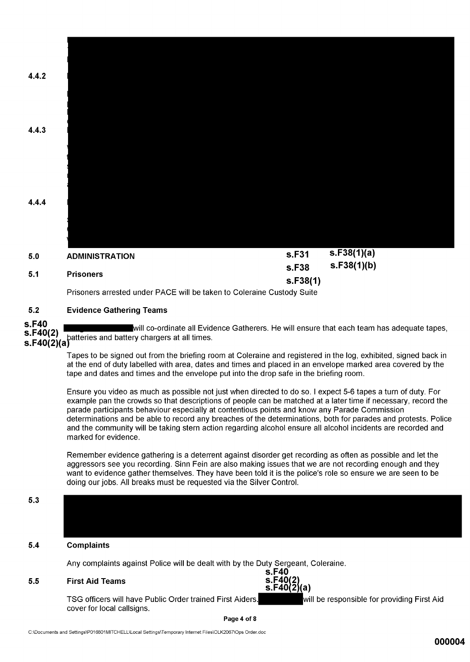

#### $5.2$ **Evidence Gathering Teams**

s.F40 will co-ordinate all Evidence Gatherers. He will ensure that each team has adequate tapes, S. Pole of the same served in EVIC<br>S. F40(2)(a)<br>S. F40(2)(a)

Tapes to be signed out from the briefing room at Coleraine and registered in the log, exhibited, signed back in at the end of duty labelled with area, dates and times and placed in an envelope marked area covered by the tape and dates and times and the envelope put into the drop safe in the briefing room.

Ensure you video as much as possible not just when directed to do so. I expect 5-6 tapes a turn of duty. For example pan the crowds so that descriptions of people can be matched at a later time if necessary, record the parade participants behaviour especially at contentious points and know any Parade Commission determinations and be able to record any breaches of the determinations, both for parades and protests. Police and the community will be taking stern action regarding alcohol ensure all alcohol incidents are recorded and marked for evidence.

Remember evidence gathering is a deterrent against disorder get recording as often as possible and let the aggressors see you recording. Sinn Fein are also making issues that we are not recording enough and they want to evidence gather themselves. They have been told it is the police's role so ensure we are seen to be doing our jobs. All breaks must be requested via the Silver Control.

### $5.3$

#### $5.4$ **Complaints**

Any complaints against Police will be dealt with by the Duty Sergeant, Coleraine.

#### $5.5$ **First Aid Teams**

s.F40 s.F40  $\frac{3!}{5!}$ F40 $\frac{2}{10}$ (a)

TSG officers will have Public Order trained First Aiders. will be responsible for providing First Aid cover for local callsigns.

### Page 4 of 8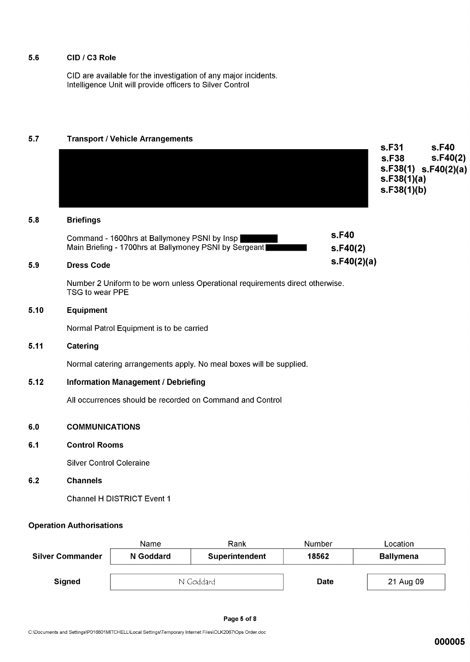#### CID / C3 Role  $5.6$

CID are available for the investigation of any major incidents.<br>Intelligence Unit will provide officers to Silver Control

#### $5.7$ **Transport / Vehicle Arrangements**

| 5.8  | <b>Briefings</b>                                                                                 |             | s.F31<br>s.F38<br>S.F38(1) S.F40(2)(a)<br>s.F38(1)(a)<br>s.F38(1)(b) | s.F40<br>S.F40(2) |
|------|--------------------------------------------------------------------------------------------------|-------------|----------------------------------------------------------------------|-------------------|
|      | Command - 1600hrs at Ballymoney PSNI by Insp                                                     | s.F40       |                                                                      |                   |
|      | Main Briefing - 1700hrs at Ballymoney PSNI by Sergeant                                           | s.F40(2)    |                                                                      |                   |
| 5.9  | <b>Dress Code</b>                                                                                | s.F40(2)(a) |                                                                      |                   |
|      | Number 2 Uniform to be worn unless Operational requirements direct otherwise.<br>TSG to wear PPE |             |                                                                      |                   |
| 5.10 | Equipment                                                                                        |             |                                                                      |                   |
|      | Normal Patrol Equipment is to be carried                                                         |             |                                                                      |                   |
| 5.11 | Catering                                                                                         |             |                                                                      |                   |
|      | Normal catering arrangements apply. No meal boxes will be supplied.                              |             |                                                                      |                   |
| 5.12 | <b>Information Management / Debriefing</b>                                                       |             |                                                                      |                   |
|      | All occurrences should be recorded on Command and Control                                        |             |                                                                      |                   |
| 6.0  | <b>COMMUNICATIONS</b>                                                                            |             |                                                                      |                   |
| 6.1  | <b>Control Rooms</b>                                                                             |             |                                                                      |                   |
|      | <b>Silver Control Coleraine</b>                                                                  |             |                                                                      |                   |
| 6.2  | <b>Channels</b>                                                                                  |             |                                                                      |                   |
|      | <b>Channel H DISTRICT Event 1</b>                                                                |             |                                                                      |                   |
|      |                                                                                                  |             |                                                                      |                   |

## **Operation Authorisations**

|                         | Name      | Rank           | Number | Location         |
|-------------------------|-----------|----------------|--------|------------------|
| <b>Silver Commander</b> | N Goddard | Superintendent | 18562  | <b>Ballymena</b> |
| Signed                  | N Goddard |                | Date   | 21 Aug 09        |
|                         |           |                |        |                  |